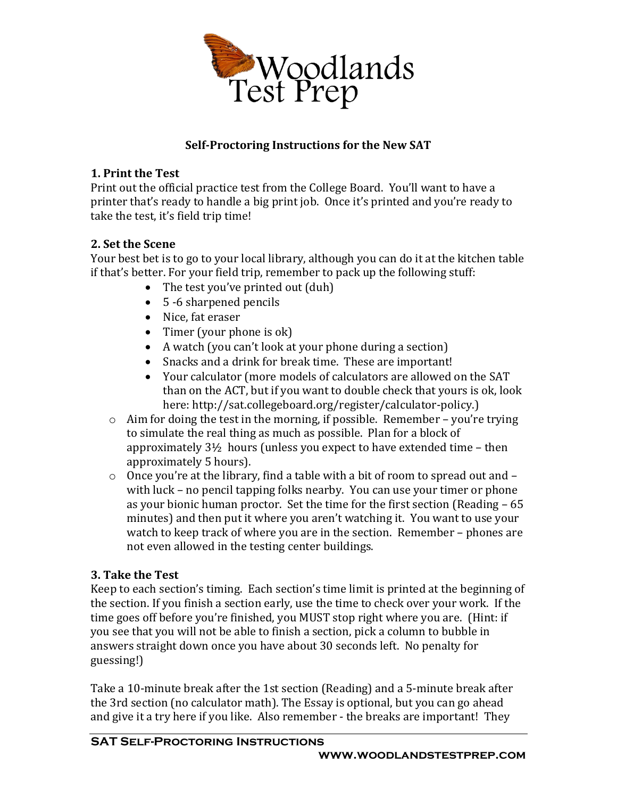

# **Self-Proctoring Instructions for the New SAT**

#### **1. Print the Test**

Print out the official practice test from the College Board. You'll want to have a printer that's ready to handle a big print job. Once it's printed and you're ready to take the test, it's field trip time!

### **2. Set the Scene**

Your best bet is to go to your local library, although you can do it at the kitchen table if that's better. For your field trip, remember to pack up the following stuff:

- The test you've printed out (duh)
- 5 -6 sharpened pencils
- Nice, fat eraser
- Timer (your phone is ok)
- A watch (you can't look at your phone during a section)
- Snacks and a drink for break time. These are important!
- Your calculator (more models of calculators are allowed on the SAT than on the ACT, but if you want to double check that yours is ok, look here: http://sat.collegeboard.org/register/calculator-policy.)
- $\circ$  Aim for doing the test in the morning, if possible. Remember you're trying to simulate the real thing as much as possible. Plan for a block of approximately 3½ hours (unless you expect to have extended time – then approximately 5 hours).
- o Once you're at the library, find a table with a bit of room to spread out and with luck – no pencil tapping folks nearby. You can use your timer or phone as your bionic human proctor. Set the time for the first section (Reading – 65 minutes) and then put it where you aren't watching it. You want to use your watch to keep track of where you are in the section. Remember – phones are not even allowed in the testing center buildings.

# **3. Take the Test**

Keep to each section's timing. Each section's time limit is printed at the beginning of the section. If you finish a section early, use the time to check over your work. If the time goes off before you're finished, you MUST stop right where you are. (Hint: if you see that you will not be able to finish a section, pick a column to bubble in answers straight down once you have about 30 seconds left. No penalty for guessing!)

Take a 10-minute break after the 1st section (Reading) and a 5-minute break after the 3rd section (no calculator math). The Essay is optional, but you can go ahead and give it a try here if you like. Also remember - the breaks are important! They